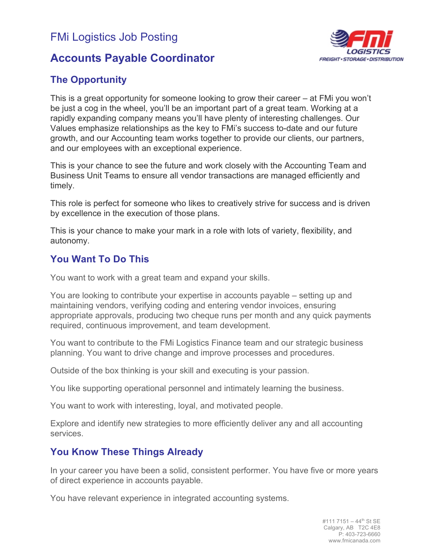# FMi Logistics Job Posting

## **Accounts Payable Coordinator**



### **The Opportunity**

This is a great opportunity for someone looking to grow their career – at FMi you won't be just a cog in the wheel, you'll be an important part of a great team. Working at a rapidly expanding company means you'll have plenty of interesting challenges. Our Values emphasize relationships as the key to FMi's success to-date and our future growth, and our Accounting team works together to provide our clients, our partners, and our employees with an exceptional experience.

This is your chance to see the future and work closely with the Accounting Team and Business Unit Teams to ensure all vendor transactions are managed efficiently and timely.

This role is perfect for someone who likes to creatively strive for success and is driven by excellence in the execution of those plans.

This is your chance to make your mark in a role with lots of variety, flexibility, and autonomy.

### **You Want To Do This**

You want to work with a great team and expand your skills.

You are looking to contribute your expertise in accounts payable – setting up and maintaining vendors, verifying coding and entering vendor invoices, ensuring appropriate approvals, producing two cheque runs per month and any quick payments required, continuous improvement, and team development.

You want to contribute to the FMi Logistics Finance team and our strategic business planning. You want to drive change and improve processes and procedures.

Outside of the box thinking is your skill and executing is your passion.

You like supporting operational personnel and intimately learning the business.

You want to work with interesting, loyal, and motivated people.

Explore and identify new strategies to more efficiently deliver any and all accounting services.

### **You Know These Things Already**

In your career you have been a solid, consistent performer. You have five or more years of direct experience in accounts payable.

You have relevant experience in integrated accounting systems.